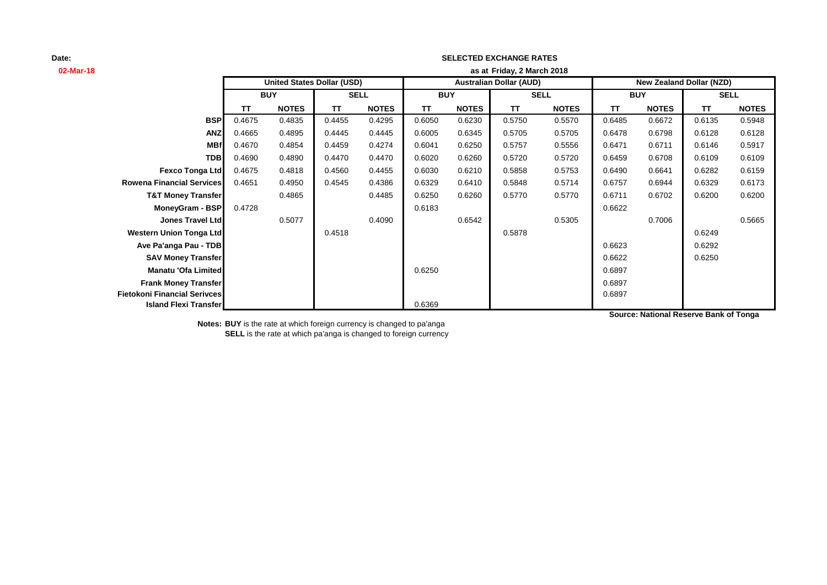# **02-Mar-18 as at TT NOTES TT NOTES TT NOTES TT NOTES TT NOTES TT NOTES BSP** 0.4675 0.4835 0.4455 0.4295 0.6050 0.6230 0.5750 0.5570 0.6485 0.6672 0.6135 0.5948 **ANZ** 0.4665 0.4895 0.4445 0.4445 0.6005 0.6345 0.5705 0.5705 0.6478 0.6798 0.6128 0.6128 **MBf** 0.4670 0.4854 0.4459 0.4274 0.6041 0.6250 0.5757 0.5556 0.6471 0.6711 0.6146 0.5917 **TDB** 0.4690 0.4890 0.4470 0.4470 0.6020 0.6260 0.5720 0.5720 0.6459 0.6708 0.6109 0.6109 **Fexco Tonga Ltd** 0.4675 0.4818 0.4560 0.4455 0.6030 0.6210 0.5858 0.5753 0.6490 0.6641 0.6282 0.6159 **Rowena Financial Services** 0.4651 0.4950 0.4545 0.4386 0.6329 0.6410 0.5848 0.5714 0.6757 0.6944 0.6329 0.6173 **T&T Money Transfer** 0.4865 0.4485 0.6250 0.6260 0.5770 0.5770 0.6711 0.6702 0.6200 0.6200 **MoneyGram - BSP** 0.4728 0.6622 **Jones Travel Ltd** 0.5077 0.4090 0.6542 0.5305 0.7006 0.5665 **Western Union Tonga Ltd** 0.4518 0.5878 0.6249 **Ave Pa'anga Pau - TDB** 0.6292 **SAV Money Transfer** 0.6622 0.6250 **Manatu 'Ofa Limited** 0.6250 0.6250 0.6250 0.6250 0.6897 **Frank Money Transfer** 0.6897 **Fietokoni Financial Serivces** 0.6897 **Island Flexi Transfer** 0.6369 **SELL United States Dollar (USD) Australian Dollar (AUD) New Zealand Dollar (NZD) BUY SELL BUY SELL BUY Friday, 2 March 2018**

**SELECTED EXCHANGE RATES**

**Source: National Reserve Bank of Tonga**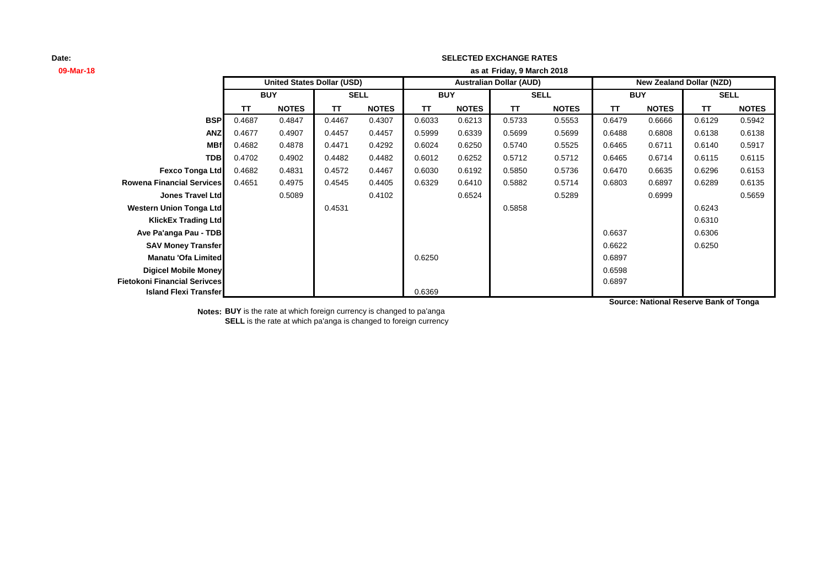## **SELECTED EXCHANGE RATES**

| 09-Mar-18                           | as at Friday, 9 March 2018 |                                   |             |              |                                |              |             |              |                                 |              |             |              |
|-------------------------------------|----------------------------|-----------------------------------|-------------|--------------|--------------------------------|--------------|-------------|--------------|---------------------------------|--------------|-------------|--------------|
|                                     |                            | <b>United States Dollar (USD)</b> |             |              | <b>Australian Dollar (AUD)</b> |              |             |              | <b>New Zealand Dollar (NZD)</b> |              |             |              |
|                                     | <b>BUY</b>                 |                                   | <b>SELL</b> |              | <b>BUY</b>                     |              | <b>SELL</b> |              | <b>BUY</b>                      |              | <b>SELL</b> |              |
|                                     | <b>TT</b>                  | <b>NOTES</b>                      | <b>TT</b>   | <b>NOTES</b> | TΤ                             | <b>NOTES</b> | TΤ          | <b>NOTES</b> | TΤ                              | <b>NOTES</b> | TΤ          | <b>NOTES</b> |
| <b>BSP</b>                          | 0.4687                     | 0.4847                            | 0.4467      | 0.4307       | 0.6033                         | 0.6213       | 0.5733      | 0.5553       | 0.6479                          | 0.6666       | 0.6129      | 0.5942       |
| <b>ANZ</b>                          | 0.4677                     | 0.4907                            | 0.4457      | 0.4457       | 0.5999                         | 0.6339       | 0.5699      | 0.5699       | 0.6488                          | 0.6808       | 0.6138      | 0.6138       |
| <b>MBf</b>                          | 0.4682                     | 0.4878                            | 0.4471      | 0.4292       | 0.6024                         | 0.6250       | 0.5740      | 0.5525       | 0.6465                          | 0.6711       | 0.6140      | 0.5917       |
| <b>TDB</b>                          | 0.4702                     | 0.4902                            | 0.4482      | 0.4482       | 0.6012                         | 0.6252       | 0.5712      | 0.5712       | 0.6465                          | 0.6714       | 0.6115      | 0.6115       |
| <b>Fexco Tonga Ltd</b>              | 0.4682                     | 0.4831                            | 0.4572      | 0.4467       | 0.6030                         | 0.6192       | 0.5850      | 0.5736       | 0.6470                          | 0.6635       | 0.6296      | 0.6153       |
| <b>Rowena Financial Services</b>    | 0.4651                     | 0.4975                            | 0.4545      | 0.4405       | 0.6329                         | 0.6410       | 0.5882      | 0.5714       | 0.6803                          | 0.6897       | 0.6289      | 0.6135       |
| <b>Jones Travel Ltd</b>             |                            | 0.5089                            |             | 0.4102       |                                | 0.6524       |             | 0.5289       |                                 | 0.6999       |             | 0.5659       |
| <b>Western Union Tonga Ltd</b>      |                            |                                   | 0.4531      |              |                                |              | 0.5858      |              |                                 |              | 0.6243      |              |
| <b>KlickEx Trading Ltd</b>          |                            |                                   |             |              |                                |              |             |              |                                 |              | 0.6310      |              |
| Ave Pa'anga Pau - TDB               |                            |                                   |             |              |                                |              |             |              | 0.6637                          |              | 0.6306      |              |
| <b>SAV Money Transfer</b>           |                            |                                   |             |              |                                |              |             |              | 0.6622                          |              | 0.6250      |              |
| Manatu 'Ofa Limited                 |                            |                                   |             |              | 0.6250                         |              |             |              | 0.6897                          |              |             |              |
| Digicel Mobile Money                |                            |                                   |             |              |                                |              |             |              | 0.6598                          |              |             |              |
| <b>Fietokoni Financial Serivces</b> |                            |                                   |             |              |                                |              |             |              | 0.6897                          |              |             |              |
| <b>Island Flexi Transfer</b>        |                            |                                   |             |              | 0.6369                         |              |             |              |                                 |              |             |              |

**Source: National Reserve Bank of Tonga**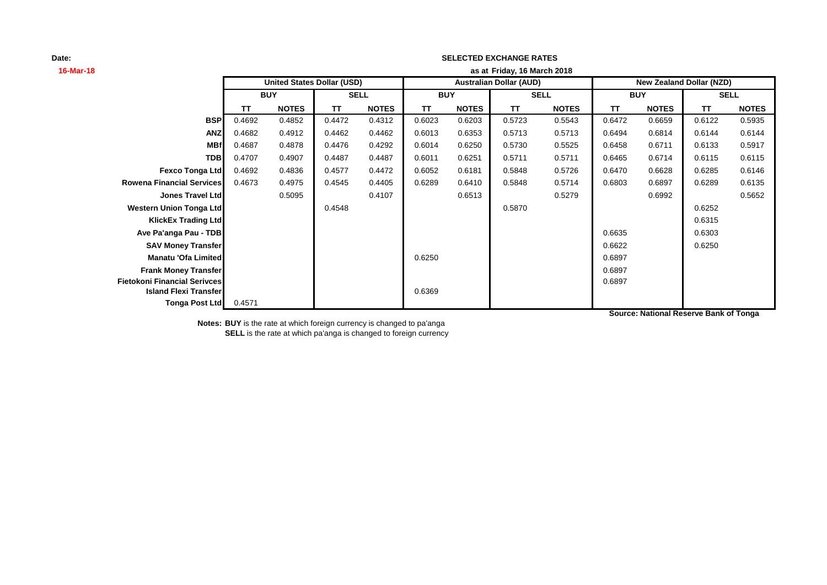# **16-Mar-18 as at TT NOTES TT NOTES TT NOTES TT NOTES TT NOTES TT NOTES BSP** 0.4692 0.4852 0.4472 0.4312 0.6023 0.6203 0.5723 0.5543 0.6472 0.6659 0.6122 0.5935 **ANZ** 0.4682 0.4912 0.4462 0.4462 0.6013 0.6353 0.5713 0.5713 0.6494 0.6814 0.6144 0.6144 **MBf** 0.4687 0.4878 0.4476 0.4292 0.6014 0.6250 0.5730 0.5525 0.6458 0.6711 0.6133 0.5917 **TDB** 0.4707 0.4907 0.4487 0.4487 0.6011 0.6251 0.5711 0.5711 0.6465 0.6714 0.6115 0.6115 **Fexco Tonga Ltd** 0.4692 0.4836 0.4577 0.4472 0.6052 0.6181 0.5848 0.5726 0.6470 0.6628 0.6285 0.6146 **Rowena Financial Services** 0.4673 0.4975 0.4545 0.4405 0.6289 0.6410 0.5848 0.5714 0.6803 0.6897 0.6289 0.6135 **Jones Travel Ltd** 0.5095 0.4107 0.6513 0.5279 0.6992 0.5652 **Western Union Tonga Ltd 1.6870** 0.6252 0.6252 0.6252 0.6252 0.6252 0.6252 0.6252 **KlickEx Trading Ltd** 0.6315 **Ave Pa'anga Pau - TDB** 0.6303 **SAV Money Transfer** 0.6622 0.6250 **Manatu 'Ofa Limited** 0.6897 **Frank Money Transfer** 0.6897 **Fietokoni Financial Serivces** 0.6897 **Island Flexi Transfer Department of the Contract of the Contract of the Contract of the Contract of the Contract of the Contract of the Contract of the Contract of the Contract of the Contract of the Contract of the Con Tonga Post Ltd** 0.4571 **SELL United States Dollar (USD) Australian Dollar (AUD) New Zealand Dollar (NZD) BUY SELL BUY SELL BUY Friday, 16 March 2018**

**SELECTED EXCHANGE RATES**

**Source: National Reserve Bank of Tonga**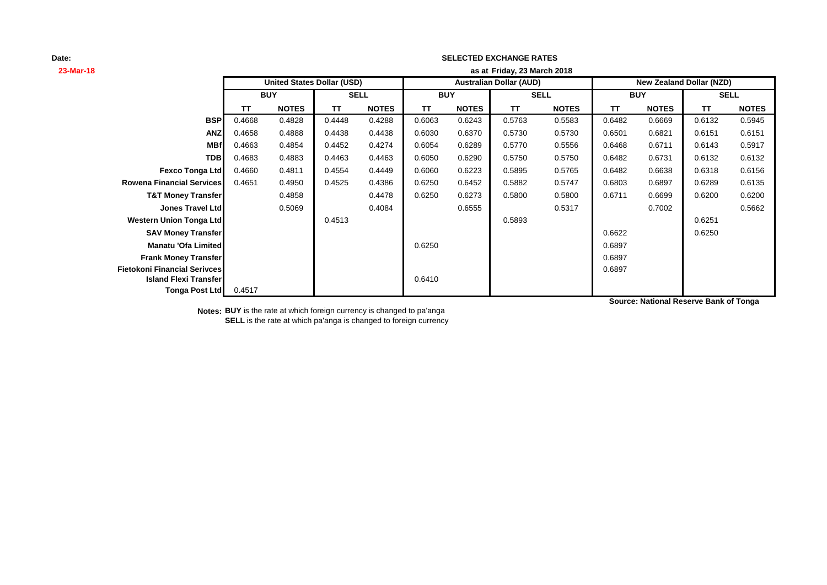## **SELECTED EXCHANGE RATES**

| 23-Mar-18                        | as at Friday, 23 March 2018 |                                   |             |              |                                |              |             |              |                                 |              |             |              |
|----------------------------------|-----------------------------|-----------------------------------|-------------|--------------|--------------------------------|--------------|-------------|--------------|---------------------------------|--------------|-------------|--------------|
|                                  |                             | <b>United States Dollar (USD)</b> |             |              | <b>Australian Dollar (AUD)</b> |              |             |              | <b>New Zealand Dollar (NZD)</b> |              |             |              |
|                                  | <b>BUY</b>                  |                                   | <b>SELL</b> |              | <b>BUY</b>                     |              | <b>SELL</b> |              | <b>BUY</b>                      |              | <b>SELL</b> |              |
|                                  | TΤ                          | <b>NOTES</b>                      | <b>TT</b>   | <b>NOTES</b> | TΤ                             | <b>NOTES</b> | TΤ          | <b>NOTES</b> | TΤ                              | <b>NOTES</b> | TΤ          | <b>NOTES</b> |
| <b>BSP</b>                       | 0.4668                      | 0.4828                            | 0.4448      | 0.4288       | 0.6063                         | 0.6243       | 0.5763      | 0.5583       | 0.6482                          | 0.6669       | 0.6132      | 0.5945       |
| <b>ANZ</b>                       | 0.4658                      | 0.4888                            | 0.4438      | 0.4438       | 0.6030                         | 0.6370       | 0.5730      | 0.5730       | 0.6501                          | 0.6821       | 0.6151      | 0.6151       |
| <b>MBf</b>                       | 0.4663                      | 0.4854                            | 0.4452      | 0.4274       | 0.6054                         | 0.6289       | 0.5770      | 0.5556       | 0.6468                          | 0.6711       | 0.6143      | 0.5917       |
| <b>TDB</b>                       | 0.4683                      | 0.4883                            | 0.4463      | 0.4463       | 0.6050                         | 0.6290       | 0.5750      | 0.5750       | 0.6482                          | 0.6731       | 0.6132      | 0.6132       |
| <b>Fexco Tonga Ltd</b>           | 0.4660                      | 0.4811                            | 0.4554      | 0.4449       | 0.6060                         | 0.6223       | 0.5895      | 0.5765       | 0.6482                          | 0.6638       | 0.6318      | 0.6156       |
| <b>Rowena Financial Services</b> | 0.4651                      | 0.4950                            | 0.4525      | 0.4386       | 0.6250                         | 0.6452       | 0.5882      | 0.5747       | 0.6803                          | 0.6897       | 0.6289      | 0.6135       |
| <b>T&amp;T Money Transfer</b>    |                             | 0.4858                            |             | 0.4478       | 0.6250                         | 0.6273       | 0.5800      | 0.5800       | 0.6711                          | 0.6699       | 0.6200      | 0.6200       |
| <b>Jones Travel Ltd</b>          |                             | 0.5069                            |             | 0.4084       |                                | 0.6555       |             | 0.5317       |                                 | 0.7002       |             | 0.5662       |
| <b>Western Union Tonga Ltd</b>   |                             |                                   | 0.4513      |              |                                |              | 0.5893      |              |                                 |              | 0.6251      |              |
| <b>SAV Money Transfer</b>        |                             |                                   |             |              |                                |              |             |              | 0.6622                          |              | 0.6250      |              |
| Manatu 'Ofa Limited              |                             |                                   |             |              | 0.6250                         |              |             |              | 0.6897                          |              |             |              |
| <b>Frank Money Transfer</b>      |                             |                                   |             |              |                                |              |             |              | 0.6897                          |              |             |              |
| Fietokoni Financial Serivces     |                             |                                   |             |              |                                |              |             |              | 0.6897                          |              |             |              |
| <b>Island Flexi Transfer</b>     |                             |                                   |             |              | 0.6410                         |              |             |              |                                 |              |             |              |
| <b>Tonga Post Ltd</b>            | 0.4517                      |                                   |             |              |                                |              |             |              |                                 |              |             |              |

**Source: National Reserve Bank of Tonga**